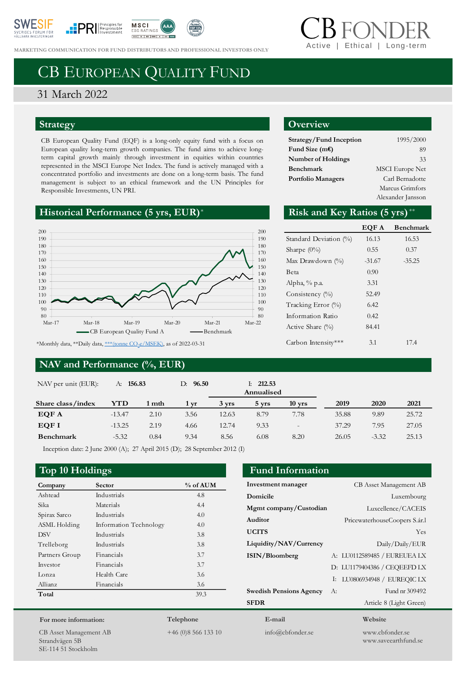





**MARKETING COMMUNICATION FOR FUND DISTRIBUTORS AND PROFESSIONAL INVESTORS ONLY** 

# Ethical | Long-tern

# CB EUROPEAN QUALITY FUND

## 31 March 2022

#### **Strategy**

CB European Quality Fund (EQF) is a long-only equity fund with a focus on European quality long-term growth companies. The fund aims to achieve longterm capital growth mainly through investment in equities within countries represented in the MSCI Europe Net Index. The fund is actively managed with a concentrated portfolio and investments are done on a long-term basis. The fund management is subject to an ethical framework and the UN Principles for Responsible Investments, UN PRI.

### **Historical Performance (5 yrs, EUR)**\*



#### **NAV and Performance (%, EUR)**

#### **Overview**

| Strategy/Fund Inception   | 1995/2000              |
|---------------------------|------------------------|
| Fund Size $(mE)$          | 89                     |
| <b>Number of Holdings</b> | 33                     |
| Benchmark                 | <b>MSCI</b> Europe Net |
| <b>Portfolio Managers</b> | Carl Bernadotte        |
|                           | Marcus Grimfors        |
|                           | Alexander Jansson      |

#### Risk and Key Ratios (5 yrs)\*\*

|                        | EQF A    | <b>Benchmark</b> |
|------------------------|----------|------------------|
| Standard Deviation (%) | 16.13    | 16.53            |
| Sharpe $(0\%)$         | 0.55     | 0.37             |
| Max Drawdown $(\% )$   | $-31.67$ | $-35.25$         |
| Beta                   | 0.90     |                  |
| Alpha, % p.a.          | 3.31     |                  |
| Consistency $(\%)$     | 52.49    |                  |
| Tracking Error (%)     | 6.42     |                  |
| Information Ratio      | 0.42     |                  |
| Active Share (%)       | 84.41    |                  |
| Carbon Intensity***    | 3.1      | 17.4             |

**Investment manager** CB Asset Management AB **Domicile** Luxembourg **Mgmt company/Custodian** Luxcellence/CACEIS **Auditor** PricewaterhouseCoopers S.ár.l **UCITS** Yes **Liquidity/NAV/Currency** Daily/Daily/EUR **ISIN/Bloomberg** A: LU0112589485 / EUREUEA LX

**Swedish Pensions Agency** A: Fund nr 309492 **SFDR** Article 8 (Light Green)

| NAV per unit (EUR): | 156.83<br>А: |       | 96.50<br>D: |       | 212.53<br>Ŀ.<br>Annualised |                          |       |         |       |
|---------------------|--------------|-------|-------------|-------|----------------------------|--------------------------|-------|---------|-------|
| Share class/index   | YTD          | 1 mth | 1 yr        | 3 yrs | 5 yrs                      | $10$ yrs                 | 2019  | 2020    | 2021  |
| EQF A               | $-13.47$     | 2.10  | 3.56        | 12.63 | 8.79                       | 7.78                     | 35.88 | 9.89    | 25.72 |
| EQF I               | $-13.25$     | 2.19  | 4.66        | 12.74 | 9.33                       | $\overline{\phantom{0}}$ | 37.29 | 7.95    | 27.05 |
| <b>Benchmark</b>    | $-5.32$      | 0.84  | 9.34        | 8.56  | 6.08                       | 8.20                     | 26.05 | $-3.32$ | 25.13 |

Inception date: 2 June 2000 (A); 27 April 2015 (D); 28 September 2012 (I)

#### **Top 10 Holdings Fund Information**

| Company        | Sector                 | % of AUM |
|----------------|------------------------|----------|
| Ashtead        | Industrials            | 4.8      |
| Sika           | Materials              | 4.4      |
| Spirax Sarco   | Industrials            | 4.0      |
| ASML Holding   | Information Technology | 4.0      |
| <b>DSV</b>     | Industrials            | 3.8      |
| Trelleborg     | Industrials            | 3.8      |
| Partners Group | Financials             | 3.7      |
| Investor       | Financials             | 3.7      |
| Lonza          | Health Care            | 3.6      |
| Allianz        | Financials             | 3.6      |
| Total          |                        | 39.3     |
|                |                        |          |

#### **For more information:**

CB Asset Management AB Strandvägen 5B SE-114 51 Stockholm

**Telephone**

+46 (0)8 566 133 10

**E-mail** info@cbfonder.se

**Website**

D: LU1179404386 / CEQEEFD LX I: LU0806934948 / EUREQIC LX

> www.cbfonder.se www.saveearthfund.se